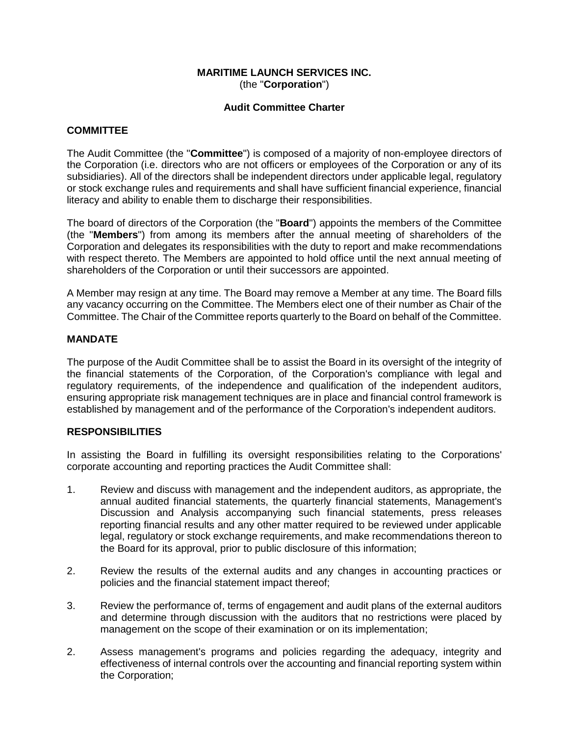# **MARITIME LAUNCH SERVICES INC.** (the "**Corporation**")

#### **Audit Committee Charter**

# **COMMITTEE**

The Audit Committee (the "**Committee**") is composed of a majority of non-employee directors of the Corporation (i.e. directors who are not officers or employees of the Corporation or any of its subsidiaries). All of the directors shall be independent directors under applicable legal, regulatory or stock exchange rules and requirements and shall have sufficient financial experience, financial literacy and ability to enable them to discharge their responsibilities.

The board of directors of the Corporation (the "**Board**") appoints the members of the Committee (the "**Members**") from among its members after the annual meeting of shareholders of the Corporation and delegates its responsibilities with the duty to report and make recommendations with respect thereto. The Members are appointed to hold office until the next annual meeting of shareholders of the Corporation or until their successors are appointed.

A Member may resign at any time. The Board may remove a Member at any time. The Board fills any vacancy occurring on the Committee. The Members elect one of their number as Chair of the Committee. The Chair of the Committee reports quarterly to the Board on behalf of the Committee.

# **MANDATE**

The purpose of the Audit Committee shall be to assist the Board in its oversight of the integrity of the financial statements of the Corporation, of the Corporation's compliance with legal and regulatory requirements, of the independence and qualification of the independent auditors, ensuring appropriate risk management techniques are in place and financial control framework is established by management and of the performance of the Corporation's independent auditors.

#### **RESPONSIBILITIES**

In assisting the Board in fulfilling its oversight responsibilities relating to the Corporations' corporate accounting and reporting practices the Audit Committee shall:

- 1. Review and discuss with management and the independent auditors, as appropriate, the annual audited financial statements, the quarterly financial statements, Management's Discussion and Analysis accompanying such financial statements, press releases reporting financial results and any other matter required to be reviewed under applicable legal, regulatory or stock exchange requirements, and make recommendations thereon to the Board for its approval, prior to public disclosure of this information;
- 2. Review the results of the external audits and any changes in accounting practices or policies and the financial statement impact thereof;
- 3. Review the performance of, terms of engagement and audit plans of the external auditors and determine through discussion with the auditors that no restrictions were placed by management on the scope of their examination or on its implementation;
- 2. Assess management's programs and policies regarding the adequacy, integrity and effectiveness of internal controls over the accounting and financial reporting system within the Corporation;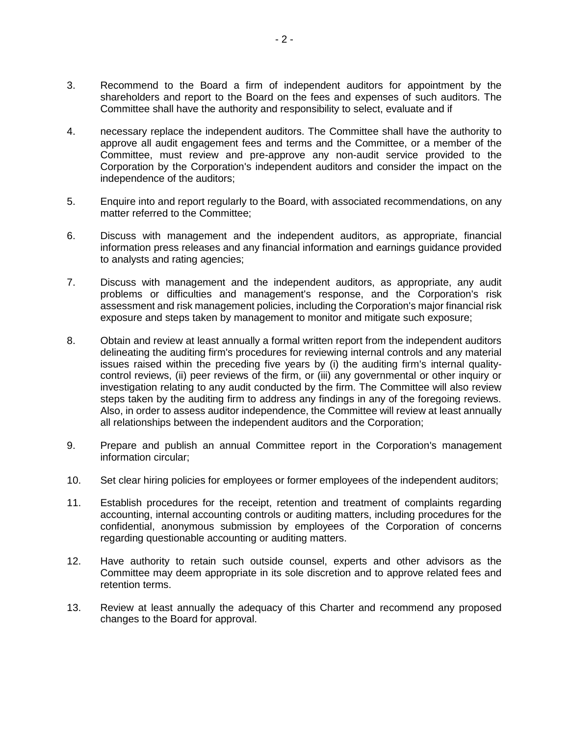- 3. Recommend to the Board a firm of independent auditors for appointment by the shareholders and report to the Board on the fees and expenses of such auditors. The Committee shall have the authority and responsibility to select, evaluate and if
- 4. necessary replace the independent auditors. The Committee shall have the authority to approve all audit engagement fees and terms and the Committee, or a member of the Committee, must review and pre-approve any non-audit service provided to the Corporation by the Corporation's independent auditors and consider the impact on the independence of the auditors;
- 5. Enquire into and report regularly to the Board, with associated recommendations, on any matter referred to the Committee;
- 6. Discuss with management and the independent auditors, as appropriate, financial information press releases and any financial information and earnings guidance provided to analysts and rating agencies;
- 7. Discuss with management and the independent auditors, as appropriate, any audit problems or difficulties and management's response, and the Corporation's risk assessment and risk management policies, including the Corporation's major financial risk exposure and steps taken by management to monitor and mitigate such exposure;
- 8. Obtain and review at least annually a formal written report from the independent auditors delineating the auditing firm's procedures for reviewing internal controls and any material issues raised within the preceding five years by (i) the auditing firm's internal qualitycontrol reviews, (ii) peer reviews of the firm, or (iii) any governmental or other inquiry or investigation relating to any audit conducted by the firm. The Committee will also review steps taken by the auditing firm to address any findings in any of the foregoing reviews. Also, in order to assess auditor independence, the Committee will review at least annually all relationships between the independent auditors and the Corporation;
- 9. Prepare and publish an annual Committee report in the Corporation's management information circular;
- 10. Set clear hiring policies for employees or former employees of the independent auditors;
- 11. Establish procedures for the receipt, retention and treatment of complaints regarding accounting, internal accounting controls or auditing matters, including procedures for the confidential, anonymous submission by employees of the Corporation of concerns regarding questionable accounting or auditing matters.
- 12. Have authority to retain such outside counsel, experts and other advisors as the Committee may deem appropriate in its sole discretion and to approve related fees and retention terms.
- 13. Review at least annually the adequacy of this Charter and recommend any proposed changes to the Board for approval.